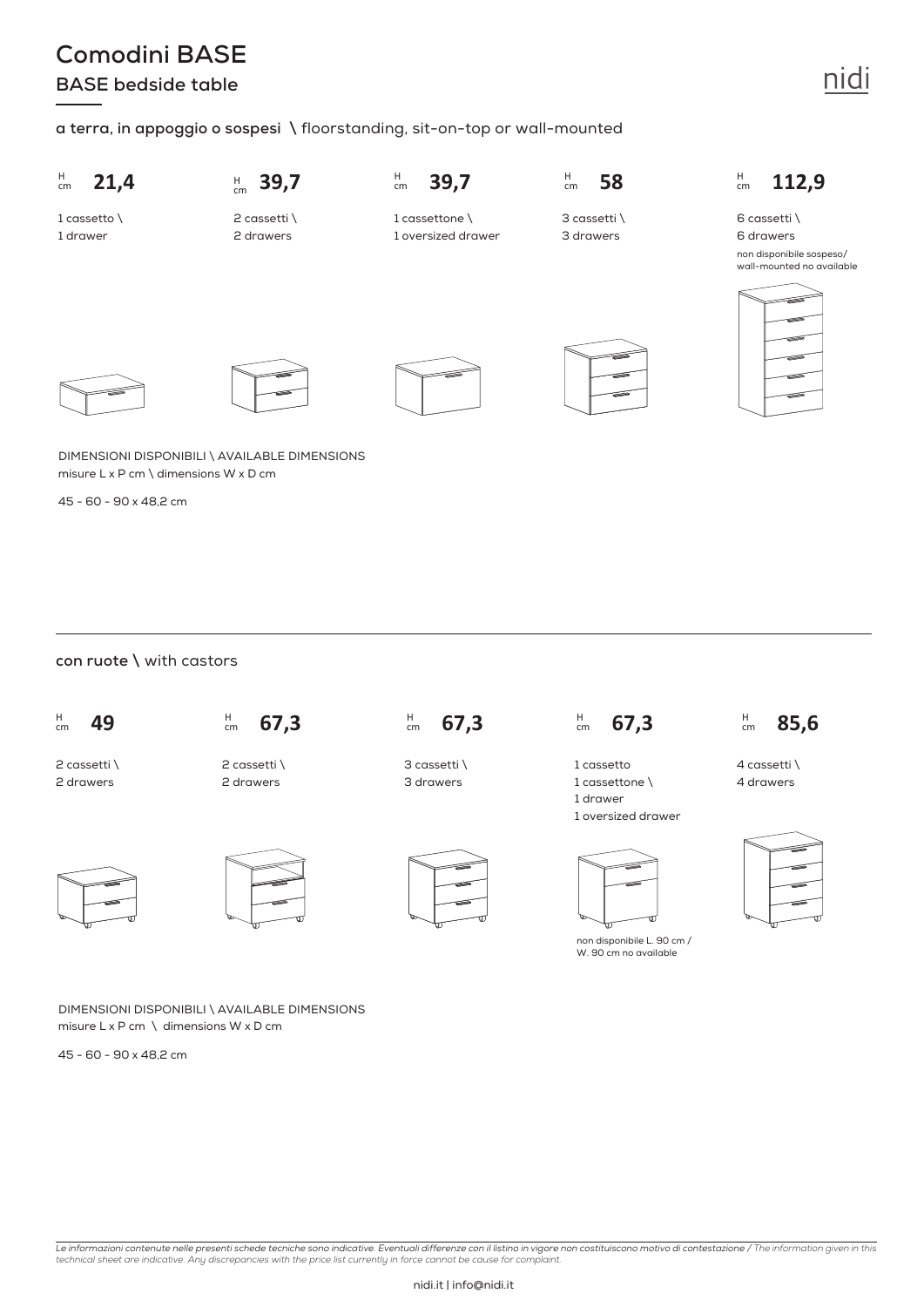## **Comodini BASE BASE bedside table**

### **a terra, in appoggio o sospesi \** floorstanding, sit-on-top or wall-mounted



DIMENSIONI DISPONIBILI \ AVAILABLE DIMENSIONS misure L x P cm \ dimensions W x D cm

45 - 60 - 90 x 48,2 cm

#### **con ruote \** with castors



2 cassetti \ 2 drawers







DIMENSIONI DISPONIBILI \ AVAILABLE DIMENSIONS misure  $L \times P$  cm  $\setminus$  dimensions W x D cm

45 - 60 - 90 x 48,2 cm



3 cassetti \ 3 drawers



 $km$  67,3

1 cassetto 1 cassettone \ 1 drawer 1 oversized drawer



non disponibile L. 90 cm / W. 90 cm no available



4 cassetti \ 4 drawers



non disponibile sospeso/ wall-mounted no available



nidi

Le informazioni contenute nelle presenti schede tecniche sono indicative. Eventuali differenze con il listino in vigore non costituiscono motivo di contestazione / The information given in this<br>technical sheet are indicati